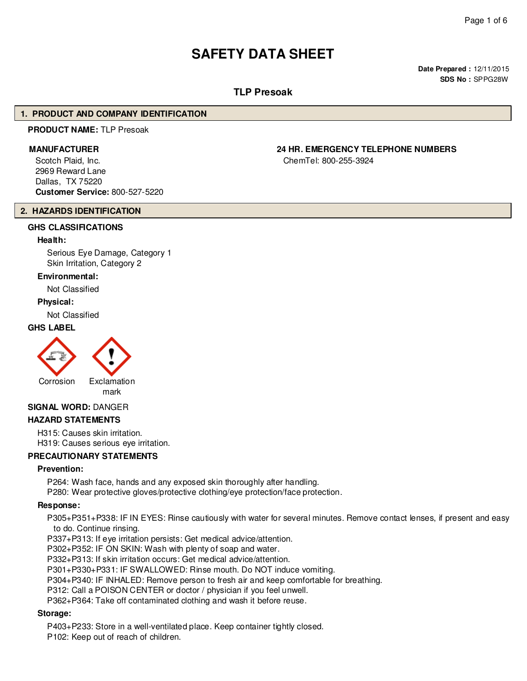# **SAFETY DATA SHEET**

**Date Prepared :** 12/11/2015 **SDS No :** SPPG28W

# **TLP Presoak**

#### **1. PRODUCT AND COMPANY IDENTIFICATION**

# **PRODUCT NAME:** TLP Presoak

Scotch Plaid, Inc. 2969 Reward Lane Dallas, TX 75220 **Customer Service:** 800-527-5220

# **2. HAZARDS IDENTIFICATION**

# **GHS CLASSIFICATIONS**

#### **Health:**

Serious Eye Damage, Category 1 Skin Irritation, Category 2

#### **Environmental:**

Not Classified

#### **Physical:**

Not Classified

#### **GHS LABEL**





# **SIGNAL WORD:** DANGER

#### **HAZARD STATEMENTS**

H315: Causes skin irritation. H319: Causes serious eye irritation.

#### **PRECAUTIONARY STATEMENTS**

#### **Prevention:**

P264: Wash face, hands and any exposed skin thoroughly after handling.

P280: Wear protective gloves/protective clothing/eye protection/face protection.

#### **Response:**

P305+P351+P338: IF IN EYES: Rinse cautiously with water for several minutes. Remove contact lenses, if present and easy to do. Continue rinsing.

P337+P313: If eye irritation persists: Get medical advice/attention.

P302+P352: IF ON SKIN: Wash with plenty of soap and water.

P332+P313: If skin irritation occurs: Get medical advice/attention.

P301+P330+P331: IF SWALLOWED: Rinse mouth. Do NOT induce vomiting.

P304+P340: IF INHALED: Remove person to fresh air and keep comfortable for breathing.

P312: Call a POISON CENTER or doctor / physician if you feel unwell.

P362+P364: Take off contaminated clothing and wash it before reuse.

#### **Storage:**

P403+P233: Store in a well-ventilated place. Keep container tightly closed.

P102: Keep out of reach of children.

# **MANUFACTURER 24 HR. EMERGENCY TELEPHONE NUMBERS**

ChemTel: 800-255-3924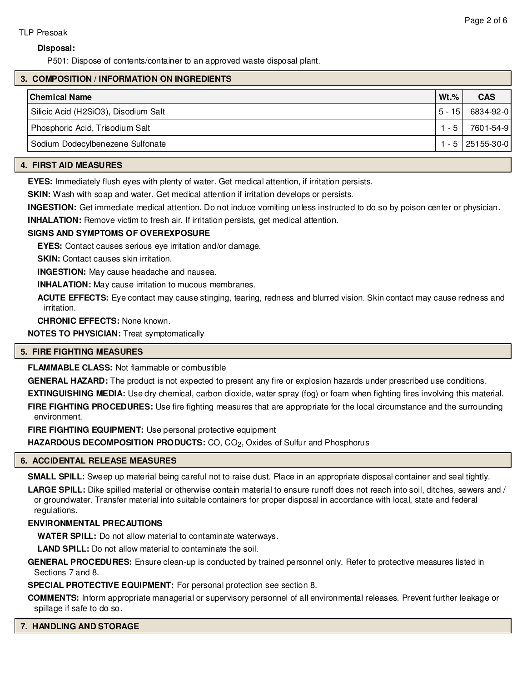#### **Disposal:**

P501: Dispose of contents/container to an approved waste disposal plant.

# **3. COMPOSITION / INFORMATION ON INGREDIENTS**

| <b>Chemical Name</b>                 | $Wt.\%$  | <b>CAS</b>       |
|--------------------------------------|----------|------------------|
| Silicic Acid (H2SiO3), Disodium Salt | $5 - 15$ | 6834-92-0        |
| Phosphoric Acid, Trisodium Salt      | $-5$     | 7601-54-9        |
| Sodium Dodecylbenezene Sulfonate     |          | 1 - 5 25155-30-0 |
|                                      |          |                  |

# **4. FIRST AID MEASURES**

**EYES:** Immediately flush eyes with plenty of water. Get medical attention, if irritation persists.

**SKIN:** Wash with soap and water. Get medical attention if irritation develops or persists.

**INGESTION:** Get immediate medical attention. Do not induce vomiting unless instructed to do so by poison center or physician.

**INHALATION:** Remove victim to fresh air. If irritation persists, get medical attention.

#### **SIGNS AND SYMPTOMS OF OVEREXPOSURE**

**EYES:** Contact causes serious eye irritation and/or damage.

**SKIN:** Contact causes skin irritation.

**INGESTION:** May cause headache and nausea.

**INHALATION:** May cause irritation to mucous membranes.

**ACUTE EFFECTS:** Eye contact may cause stinging, tearing, redness and blurred vision. Skin contact may cause redness and irritation.

**CHRONIC EFFECTS:** None known.

**NOTES TO PHYSICIAN:** Treat symptomatically

#### **5. FIRE FIGHTING MEASURES**

**FLAMMABLE CLASS:** Not flammable or combustible

**GENERAL HAZARD:** The product is not expected to present any fire or explosion hazards under prescribed use conditions.

**EXTINGUISHING MEDIA:** Use dry chemical, carbon dioxide, water spray (fog) or foam when fighting fires involving this material.

**FIRE FIGHTING PROCEDURES:** Use fire fighting measures that are appropriate for the local circumstance and the surrounding environment.

**FIRE FIGHTING EQUIPMENT:** Use personal protective equipment

**HAZARDOUS DECOMPOSITION PRODUCTS:** CO, CO<sub>2</sub>, Oxides of Sulfur and Phosphorus

#### **6. ACCIDENTAL RELEASE MEASURES**

**SMALL SPILL:** Sweep up material being careful not to raise dust. Place in an appropriate disposal container and seal tightly.

**LARGE SPILL:** Dike spilled material or otherwise contain material to ensure runoff does not reach into soil, ditches, sewers and / or groundwater. Transfer material into suitable containers for proper disposal in accordance with local, state and federal regulations.

#### **ENVIRONMENTAL PRECAUTIONS**

**WATER SPILL:** Do not allow material to contaminate waterways.

**LAND SPILL:** Do not allow material to contaminate the soil.

**GENERAL PROCEDURES:** Ensure clean-up is conducted by trained personnel only. Refer to protective measures listed in Sections 7 and 8.

**SPECIAL PROTECTIVE EQUIPMENT:** For personal protection see section 8.

**COMMENTS:** Inform appropriate managerial or supervisory personnel of all environmental releases. Prevent further leakage or spillage if safe to do so.

#### **7. HANDLING AND STORAGE**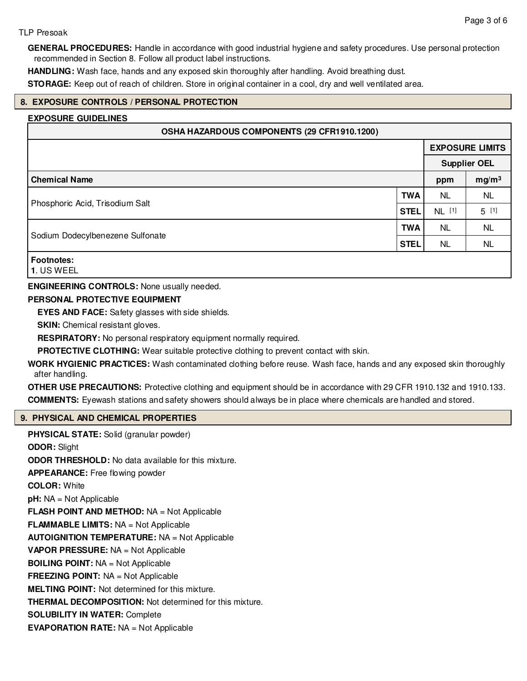#### TLP Presoak

**GENERAL PROCEDURES:** Handle in accordance with good industrial hygiene and safety procedures. Use personal protection recommended in Section 8. Follow all product label instructions.

**HANDLING:** Wash face, hands and any exposed skin thoroughly after handling. Avoid breathing dust.

**STORAGE:** Keep out of reach of children. Store in original container in a cool, dry and well ventilated area.

#### **8. EXPOSURE CONTROLS / PERSONAL PROTECTION**

#### **EXPOSURE GUIDELINES**

| OSHA HAZARDOUS COMPONENTS (29 CFR1910.1200) |             |                     |                        |
|---------------------------------------------|-------------|---------------------|------------------------|
|                                             |             |                     | <b>EXPOSURE LIMITS</b> |
|                                             |             | <b>Supplier OEL</b> |                        |
| <b>Chemical Name</b>                        |             | ppm                 | mg/m <sup>3</sup>      |
| Phosphoric Acid, Trisodium Salt             | <b>TWA</b>  | NL.                 | <b>NL</b>              |
|                                             | <b>STEL</b> | NL [1]              | $5^{[1]}$              |
| Sodium Dodecylbenezene Sulfonate            | <b>TWA</b>  | NL.                 | <b>NL</b>              |
|                                             | <b>STEL</b> | NL                  | <b>NL</b>              |
| <b>Footnotes:</b><br><b>1</b> IIS WEEL      |             |                     |                        |

**1**. US WEEL

**ENGINEERING CONTROLS:** None usually needed.

#### **PERSONAL PROTECTIVE EQUIPMENT**

**EYES AND FACE:** Safety glasses with side shields.

**SKIN:** Chemical resistant gloves.

**RESPIRATORY:** No personal respiratory equipment normally required.

**PROTECTIVE CLOTHING:** Wear suitable protective clothing to prevent contact with skin.

**WORK HYGIENIC PRACTICES:** Wash contaminated clothing before reuse. Wash face, hands and any exposed skin thoroughly after handling.

**OTHER USE PRECAUTIONS:** Protective clothing and equipment should be in accordance with 29 CFR 1910.132 and 1910.133. **COMMENTS:** Eyewash stations and safety showers should always be in place where chemicals are handled and stored.

#### **9. PHYSICAL AND CHEMICAL PROPERTIES**

**PHYSICAL STATE:** Solid (granular powder) **ODOR:** Slight **ODOR THRESHOLD:** No data available for this mixture. **APPEARANCE:** Free flowing powder **COLOR:** White **pH:** NA = Not Applicable **FLASH POINT AND METHOD:** NA = Not Applicable **FLAMMABLE LIMITS:** NA = Not Applicable **AUTOIGNITION TEMPERATURE:** NA = Not Applicable **VAPOR PRESSURE:** NA = Not Applicable **BOILING POINT:** NA = Not Applicable **FREEZING POINT:** NA = Not Applicable **MELTING POINT:** Not determined for this mixture. **THERMAL DECOMPOSITION:** Not determined for this mixture. **SOLUBILITY IN WATER:** Complete

**EVAPORATION RATE:** NA = Not Applicable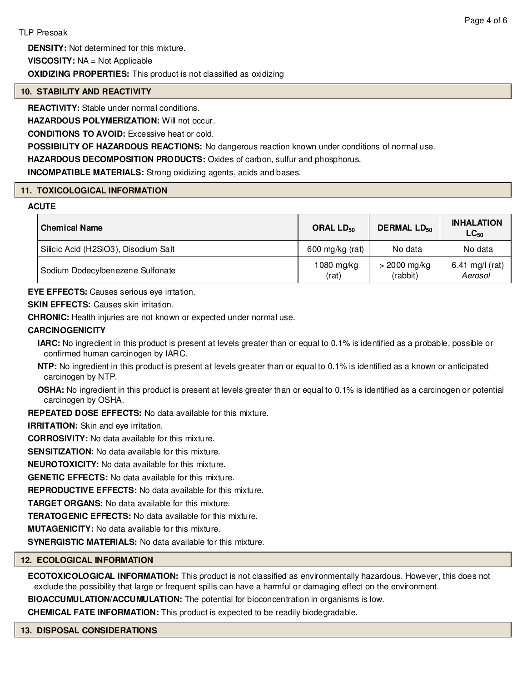**DENSITY:** Not determined for this mixture.

**VISCOSITY:** NA = Not Applicable

**OXIDIZING PROPERTIES:** This product is not classified as oxidizing

# **10. STABILITY AND REACTIVITY**

**REACTIVITY:** Stable under normal conditions.

**HAZARDOUS POLYMERIZATION:** Will not occur.

**CONDITIONS TO AVOID:** Excessive heat or cold.

**POSSIBILITY OF HAZARDOUS REACTIONS:** No dangerous reaction known under conditions of normal use.

**HAZARDOUS DECOMPOSITION PRODUCTS:** Oxides of carbon, sulfur and phosphorus.

**INCOMPATIBLE MATERIALS:** Strong oxidizing agents, acids and bases.

# **11. TOXICOLOGICAL INFORMATION**

#### **ACUTE**

| <b>Chemical Name</b>                 | ORAL $LD_{50}$        | <b>DERMAL LD<sub>50</sub></b> | <b>INHALATION</b><br>$LC_{50}$ |
|--------------------------------------|-----------------------|-------------------------------|--------------------------------|
| Silicic Acid (H2SiO3), Disodium Salt | 600 mg/kg (rat)       | No data                       | No data                        |
| Sodium Dodecylbenezene Sulfonate     | $1080$ mg/kg<br>(rat) | $>$ 2000 mg/kg<br>(rabbit)    | 6.41 mg/l (rat)<br>Aerosol     |

**EYE EFFECTS:** Causes serious eye irrtation.

**SKIN EFFECTS:** Causes skin irritation.

**CHRONIC:** Health injuries are not known or expected under normal use.

# **CARCINOGENICITY**

**IARC:** No ingredient in this product is present at levels greater than or equal to 0.1% is identified as a probable, possible or confirmed human carcinogen by IARC.

**NTP:** No ingredient in this product is present at levels greater than or equal to 0.1% is identified as a known or anticipated carcinogen by NTP.

**OSHA:** No ingredient in this product is present at levels greater than or equal to 0.1% is identified as a carcinogen or potential carcinogen by OSHA.

**REPEATED DOSE EFFECTS:** No data available for this mixture.

**IRRITATION:** Skin and eye irritation.

**CORROSIVITY:** No data available for this mixture.

**SENSITIZATION:** No data available for this mixture.

**NEUROTOXICITY:** No data available for this mixture.

**GENETIC EFFECTS:** No data available for this mixture.

**REPRODUCTIVE EFFECTS:** No data available for this mixture.

**TARGET ORGANS:** No data available for this mixture.

**TERATOGENIC EFFECTS:** No data available for this mixture.

**MUTAGENICITY:** No data available for this mixture.

**SYNERGISTIC MATERIALS:** No data available for this mixture.

#### **12. ECOLOGICAL INFORMATION**

**ECOTOXICOLOGICAL INFORMATION:** This product is not classified as environmentally hazardous. However, this does not exclude the possibility that large or frequent spills can have a harmful or damaging effect on the environment.

**BIOACCUMULATION/ACCUMULATION:** The potential for bioconcentration in organisms is low.

**CHEMICAL FATE INFORMATION:** This product is expected to be readily biodegradable.

#### **13. DISPOSAL CONSIDERATIONS**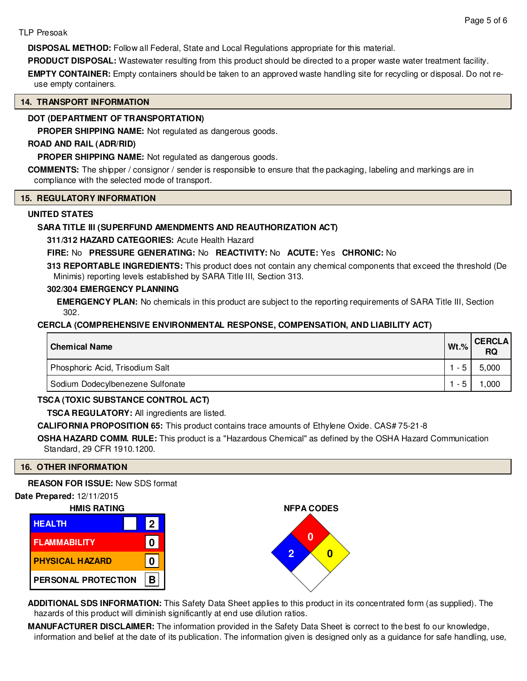#### TLP Presoak

**DISPOSAL METHOD:** Follow all Federal, State and Local Regulations appropriate for this material.

**PRODUCT DISPOSAL:** Wastewater resulting from this product should be directed to a proper waste water treatment facility.

**EMPTY CONTAINER:** Empty containers should be taken to an approved waste handling site for recycling or disposal. Do not reuse empty containers.

# **14. TRANSPORT INFORMATION**

# **DOT (DEPARTMENT OF TRANSPORTATION)**

**PROPER SHIPPING NAME:** Not regulated as dangerous goods.

# **ROAD AND RAIL (ADR/RID)**

**PROPER SHIPPING NAME:** Not regulated as dangerous goods.

**COMMENTS:** The shipper / consignor / sender is responsible to ensure that the packaging, labeling and markings are in compliance with the selected mode of transport.

#### **15. REGULATORY INFORMATION**

#### **UNITED STATES**

# **SARA TITLE III (SUPERFUND AMENDMENTS AND REAUTHORIZATION ACT)**

**311/312 HAZARD CATEGORIES:** Acute Health Hazard

# **FIRE:** No **PRESSURE GENERATING:** No **REACTIVITY:** No **ACUTE:** Yes **CHRONIC:** No

**313 REPORTABLE INGREDIENTS:** This product does not contain any chemical components that exceed the threshold (De Minimis) reporting levels established by SARA Title III, Section 313.

#### **302/304 EMERGENCY PLANNING**

**EMERGENCY PLAN:** No chemicals in this product are subject to the reporting requirements of SARA Title III, Section 302.

# **CERCLA (COMPREHENSIVE ENVIRONMENTAL RESPONSE, COMPENSATION, AND LIABILITY ACT)**

| <b>Chemical Name</b>             | $Wt.$ % | <b>CERCLA</b><br><b>RQ</b> |
|----------------------------------|---------|----------------------------|
| Phosphoric Acid, Trisodium Salt  |         | 5,000                      |
| Sodium Dodecylbenezene Sulfonate |         | ,000                       |

# **TSCA (TOXIC SUBSTANCE CONTROL ACT)**

**TSCA REGULATORY:** All ingredients are listed.

**CALIFORNIA PROPOSITION 65:** This product contains trace amounts of Ethylene Oxide. CAS# 75-21-8

**OSHA HAZARD COMM. RULE:** This product is a "Hazardous Chemical" as defined by the OSHA Hazard Communication Standard, 29 CFR 1910.1200.

**NFPA CODES**

**0**

**2 0**

#### **16. OTHER INFORMATION**

**REASON FOR ISSUE:** New SDS format

#### **Date Prepared:** 12/11/2015



| <b>HEALTH</b>          | $\vert$ 2 |
|------------------------|-----------|
| <b>FLAMMABILITY</b>    |           |
| <b>PHYSICAL HAZARD</b> | n         |
| PERSONAL PROTECTION    | B.        |



**MANUFACTURER DISCLAIMER:** The information provided in the Safety Data Sheet is correct to the best fo our knowledge, information and belief at the date of its publication. The information given is designed only as a guidance for safe handling, use,